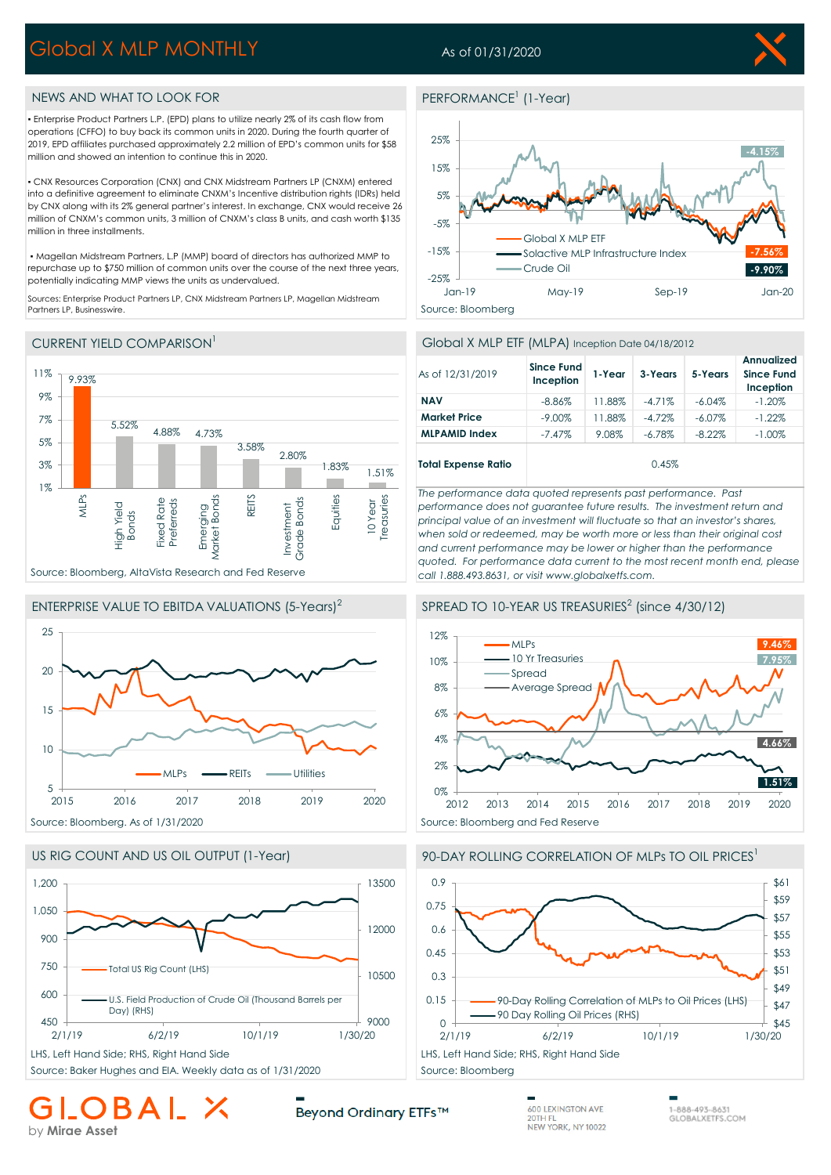# Global X MLP MONTHLY

## As of 01/31/2020



## NEWS AND WHAT TO LOOK FOR

▪ Enterprise Product Partners L.P. (EPD) plans to utilize nearly 2% of its cash flow from operations (CFFO) to buy back its common units in 2020. During the fourth quarter of 2019, EPD affiliates purchased approximately 2.2 million of EPD's common units for \$58 million and showed an intention to continue this in 2020.

▪ CNX Resources Corporation (CNX) and CNX Midstream Partners LP (CNXM) entered into a definitive agreement to eliminate CNXM's Incentive distribution rights (IDRs) held by CNX along with its 2% general partner's interest. In exchange, CNX would receive 26 million of CNXM's common units, 3 million of CNXM's class B units, and cash worth \$135 million in three installments.

 ▪ Magellan Midstream Partners, L.P (MMP) board of directors has authorized MMP to repurchase up to \$750 million of common units over the course of the next three years, potentially indicating MMP views the units as undervalued.

Sources: Enterprise Product Partners LP, CNX Midstream Partners LP, Magellan Midstream Partners LP, Businesswire.

## CURRENT YIELD COMPARISON<sup>1</sup>



## ENTERPRISE VALUE TO EBITDA VALUATIONS (5-Years)<sup>2</sup>





Source: Baker Hughes and EIA. Weekly data as of 1/31/2020 Source: Bloomberg

## **BAI** by **Mirae Asset**

## PERFORMANCE<sup>1</sup> (1-Year)



## Global X MLP ETF (MLPA) Inception Date 04/18/2012

| As of 12/31/2019           | <b>Since Fund</b><br>Inception | 1-Year | 3-Years   | 5-Years   | Annualized<br><b>Since Fund</b><br>Inception |
|----------------------------|--------------------------------|--------|-----------|-----------|----------------------------------------------|
| <b>NAV</b>                 | $-8.86\%$                      | 11.88% | $-4.71%$  | $-6.04\%$ | $-1.20\%$                                    |
| <b>Market Price</b>        | $-9.00\%$                      | 11.88% | $-4.72%$  | $-6.07\%$ | $-1.22%$                                     |
| <b>MLPAMID Index</b>       | $-7.47%$                       | 9.08%  | $-6.78\%$ | $-8.22\%$ | $-1.00\%$                                    |
| <b>Total Expense Ratio</b> |                                |        | 0.45%     |           |                                              |

*The performance data quoted represents past performance. Past performance does not guarantee future results. The investment return and principal value of an investment will fluctuate so that an investor's shares, when sold or redeemed, may be worth more or less than their original cost and current performance may be lower or higher than the performance quoted. For performance data current to the most recent month end, please call 1.888.493.8631, or visit www.globalxetfs.com.*

## SPREAD TO 10-YEAR US TREASURIES $<sup>2</sup>$  (since 4/30/12)</sup>



## 90-DAY ROLLING CORRELATION OF MLPs TO OIL PRICES<sup>1</sup>



Beyond Ordinary ETFs™

600 LEXINGTON AVE 20TH FL NEW YORK, NY 10022 1-888-493-8631 GLOBALXETFS.COM